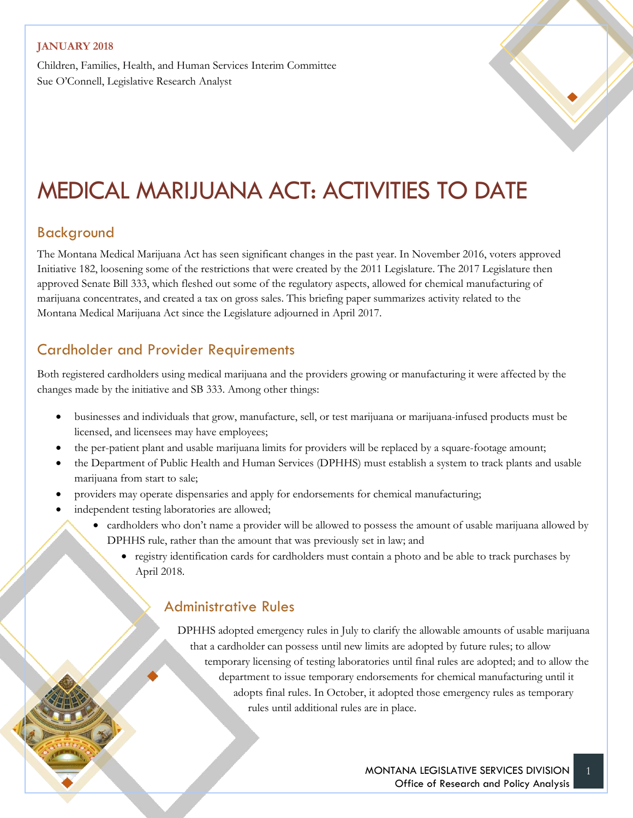Children, Families, Health, and Human Services Interim Committee Sue O'Connell, Legislative Research Analyst

# MEDICAL MARIJUANA ACT: ACTIVITIES TO DATE

#### Background

The Montana Medical Marijuana Act has seen significant changes in the past year. In November 2016, voters approved Initiative 182, loosening some of the restrictions that were created by the 2011 Legislature. The 2017 Legislature then approved Senate Bill 333, which fleshed out some of the regulatory aspects, allowed for chemical manufacturing of marijuana concentrates, and created a tax on gross sales. This briefing paper summarizes activity related to the Montana Medical Marijuana Act since the Legislature adjourned in April 2017.

## Cardholder and Provider Requirements

Both registered cardholders using medical marijuana and the providers growing or manufacturing it were affected by the changes made by the initiative and SB 333. Among other things:

- businesses and individuals that grow, manufacture, sell, or test marijuana or marijuana-infused products must be licensed, and licensees may have employees;
- the per-patient plant and usable marijuana limits for providers will be replaced by a square-footage amount;
- the Department of Public Health and Human Services (DPHHS) must establish a system to track plants and usable marijuana from start to sale;
- providers may operate dispensaries and apply for endorsements for chemical manufacturing;
- independent testing laboratories are allowed;
	- cardholders who don't name a provider will be allowed to possess the amount of usable marijuana allowed by DPHHS rule, rather than the amount that was previously set in law; and
		- registry identification cards for cardholders must contain a photo and be able to track purchases by April 2018.

#### Administrative Rules

DPHHS adopted emergency rules in July to clarify the allowable amounts of usable marijuana that a cardholder can possess until new limits are adopted by future rules; to allow temporary licensing of testing laboratories until final rules are adopted; and to allow the department to issue temporary endorsements for chemical manufacturing until it adopts final rules. In October, it adopted those emergency rules as temporary rules until additional rules are in place.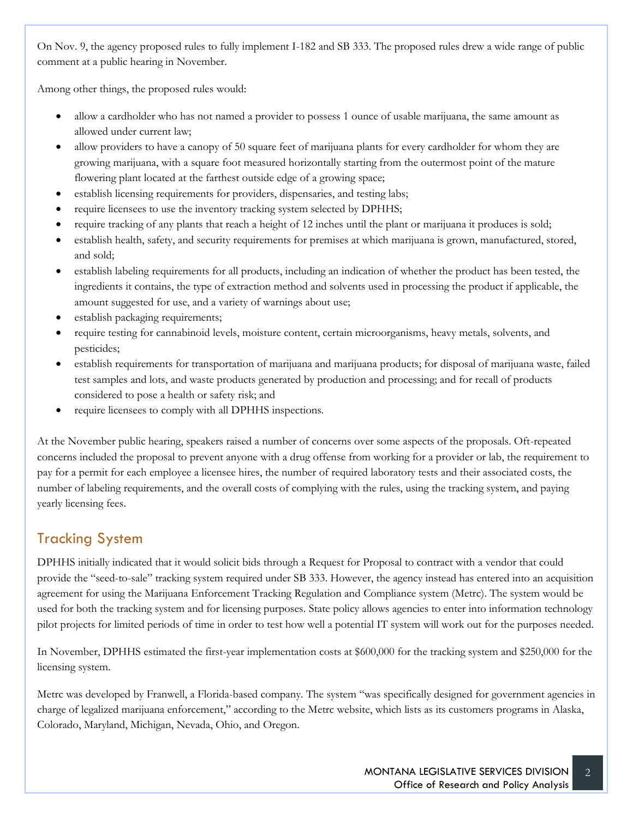On Nov. 9, the agency proposed rules to fully implement I-182 and SB 333. The proposed rules drew a wide range of public comment at a public hearing in November.

Among other things, the proposed rules would:

- allow a cardholder who has not named a provider to possess 1 ounce of usable marijuana, the same amount as allowed under current law;
- allow providers to have a canopy of 50 square feet of marijuana plants for every cardholder for whom they are growing marijuana, with a square foot measured horizontally starting from the outermost point of the mature flowering plant located at the farthest outside edge of a growing space;
- establish licensing requirements for providers, dispensaries, and testing labs;
- require licensees to use the inventory tracking system selected by DPHHS;
- require tracking of any plants that reach a height of 12 inches until the plant or marijuana it produces is sold;
- establish health, safety, and security requirements for premises at which marijuana is grown, manufactured, stored, and sold;
- establish labeling requirements for all products, including an indication of whether the product has been tested, the ingredients it contains, the type of extraction method and solvents used in processing the product if applicable, the amount suggested for use, and a variety of warnings about use;
- establish packaging requirements;
- require testing for cannabinoid levels, moisture content, certain microorganisms, heavy metals, solvents, and pesticides;
- establish requirements for transportation of marijuana and marijuana products; for disposal of marijuana waste, failed test samples and lots, and waste products generated by production and processing; and for recall of products considered to pose a health or safety risk; and
- require licensees to comply with all DPHHS inspections.

At the November public hearing, speakers raised a number of concerns over some aspects of the proposals. Oft-repeated concerns included the proposal to prevent anyone with a drug offense from working for a provider or lab, the requirement to pay for a permit for each employee a licensee hires, the number of required laboratory tests and their associated costs, the number of labeling requirements, and the overall costs of complying with the rules, using the tracking system, and paying yearly licensing fees.

## Tracking System

DPHHS initially indicated that it would solicit bids through a Request for Proposal to contract with a vendor that could provide the "seed-to-sale" tracking system required under SB 333. However, the agency instead has entered into an acquisition agreement for using the Marijuana Enforcement Tracking Regulation and Compliance system (Metrc). The system would be used for both the tracking system and for licensing purposes. State policy allows agencies to enter into information technology pilot projects for limited periods of time in order to test how well a potential IT system will work out for the purposes needed.

In November, DPHHS estimated the first-year implementation costs at \$600,000 for the tracking system and \$250,000 for the licensing system.

Metrc was developed by Franwell, a Florida-based company. The system "was specifically designed for government agencies in charge of legalized marijuana enforcement," according to the Metrc website, which lists as its customers programs in Alaska, Colorado, Maryland, Michigan, Nevada, Ohio, and Oregon.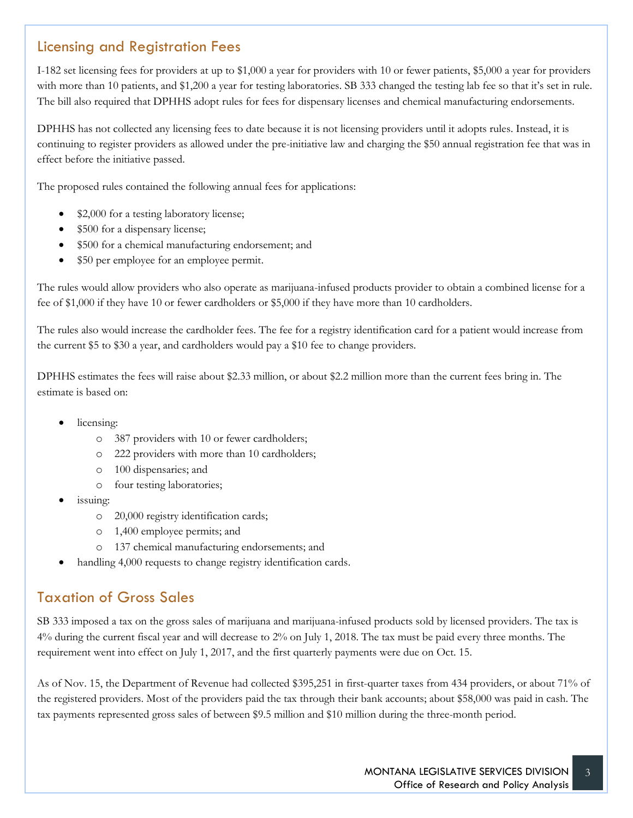#### Licensing and Registration Fees

I-182 set licensing fees for providers at up to \$1,000 a year for providers with 10 or fewer patients, \$5,000 a year for providers with more than 10 patients, and \$1,200 a year for testing laboratories. SB 333 changed the testing lab fee so that it's set in rule. The bill also required that DPHHS adopt rules for fees for dispensary licenses and chemical manufacturing endorsements.

DPHHS has not collected any licensing fees to date because it is not licensing providers until it adopts rules. Instead, it is continuing to register providers as allowed under the pre-initiative law and charging the \$50 annual registration fee that was in effect before the initiative passed.

The proposed rules contained the following annual fees for applications:

- \$2,000 for a testing laboratory license;
- \$500 for a dispensary license;
- \$500 for a chemical manufacturing endorsement; and
- \$50 per employee for an employee permit.

The rules would allow providers who also operate as marijuana-infused products provider to obtain a combined license for a fee of \$1,000 if they have 10 or fewer cardholders or \$5,000 if they have more than 10 cardholders.

The rules also would increase the cardholder fees. The fee for a registry identification card for a patient would increase from the current \$5 to \$30 a year, and cardholders would pay a \$10 fee to change providers.

DPHHS estimates the fees will raise about \$2.33 million, or about \$2.2 million more than the current fees bring in. The estimate is based on:

- licensing:
	- o 387 providers with 10 or fewer cardholders;
	- o 222 providers with more than 10 cardholders;
	- o 100 dispensaries; and
	- o four testing laboratories;
- issuing:
	- o 20,000 registry identification cards;
	- o 1,400 employee permits; and
	- o 137 chemical manufacturing endorsements; and
- handling 4,000 requests to change registry identification cards.

## Taxation of Gross Sales

SB 333 imposed a tax on the gross sales of marijuana and marijuana-infused products sold by licensed providers. The tax is 4% during the current fiscal year and will decrease to 2% on July 1, 2018. The tax must be paid every three months. The requirement went into effect on July 1, 2017, and the first quarterly payments were due on Oct. 15.

As of Nov. 15, the Department of Revenue had collected \$395,251 in first-quarter taxes from 434 providers, or about 71% of the registered providers. Most of the providers paid the tax through their bank accounts; about \$58,000 was paid in cash. The tax payments represented gross sales of between \$9.5 million and \$10 million during the three-month period.